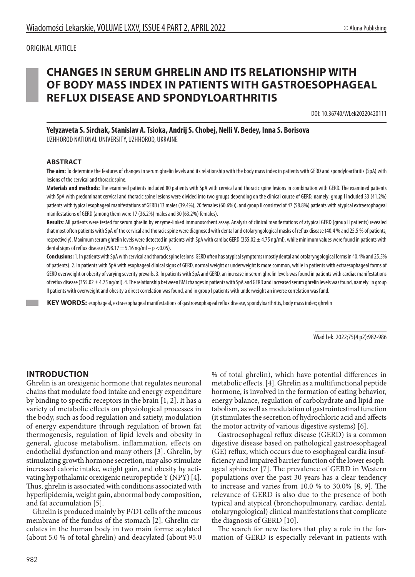# **CHANGES IN SERUM GHRELIN AND ITS RELATIONSHIP WITH OF BODY MASS INDEX IN PATIENTS WITH GASTROESOPHAGEAL REFLUX DISEASE AND SPONDYLOARTHRITIS**

DOI: 10.36740/WLek20220420111

**Yelyzaveta S. Sirchak, Stanislav A. Tsioka, Andrij S. Chobej, Nelli V. Bedey, Inna S. Borisova** UZHHOROD NATIONAL UNIVERSITY, UZHHOROD, UKRAINE

#### **ABSTRACT**

**The aim:** To determine the features of changes in serum ghrelin levels and its relationship with the body mass index in patients with GERD and spondyloarthritis (SpA) with lesions of the cervical and thoracic spine.

**Materials and methods:** The examined patients included 80 patients with SpA with cervical and thoracic spine lesions in combination with GERD. The examined patients with SpA with predominant cervical and thoracic spine lesions were divided into two groups depending on the clinical course of GERD, namely: group I included 33 (41.2%) patients with typical esophageal manifestations of GERD (13 males (39.4%), 20 females (60.6%)), and group II consisted of 47 (58.8%) patients with atypical extraesophageal manifestations of GERD (among them were 17 (36.2%) males and 30 (63.2%) females).

**Results**: All patients were tested for serum ghrelin by enzyme-linked immunosorbent assay. Analysis of clinical manifestations of atypical GERD (group II patients) revealed that most often patients with SpA of the cervical and thoracic spine were diagnosed with dental and otolaryngological masks of reflux disease (40.4 % and 25.5 % of patients, respectively). Maximum serum ghrelin levels were detected in patients with SpA with cardiac GERD (355.02  $\pm$  4.75 ng/ml), while minimum values were found in patients with dental signs of reflux disease (298.17  $\pm$  5.16 ng/ml – p <0.05).

Conclusions: 1. In patients with SpA with cervical and thoracic spine lesions, GERD often has atypical symptoms (mostly dental and otolaryngological forms in 40.4% and 25.5% of patients). 2. In patients with SpA with esophageal clinical signs of GERD, normal weight or underweight is more common, while in patients with extraesophageal forms of GERD overweight or obesity of varying severity prevails. 3. In patients with SpA and GERD, an increase in serum ghrelin levels was found in patients with cardiac manifestations of reflux disease (355.02 ± 4.75 ng/ml). 4. The relationship between BMI changes in patients with SpA and GERD and increased serum ghrelin levels was found, namely: in group II patients with overweight and obesity a direct correlation was found, and in group I patients with underweight an inverse correlation was fund.

 **KEY WORDS:** esophageal, extraesophageal manifestations of gastroesophageal reflux disease, spondyloarthritis, body mass index; ghrelin

Wiad Lek. 2022;75(4 p2):982-986

#### **INTRODUCTION**

Ghrelin is an orexigenic hormone that regulates neuronal chains that modulate food intake and energy expenditure by binding to specific receptors in the brain [1, 2]. It has a variety of metabolic effects on physiological processes in the body, such as food regulation and satiety, modulation of energy expenditure through regulation of brown fat thermogenesis, regulation of lipid levels and obesity in general, glucose metabolism, inflammation, effects on endothelial dysfunction and many others [3]. Ghrelin, by stimulating growth hormone secretion, may also stimulate increased calorie intake, weight gain, and obesity by activating hypothalamic orexigenic neuropeptide Y (NPY) [4]. Thus, ghrelin is associated with conditions associated with hyperlipidemia, weight gain, abnormal body composition, and fat accumulation [5].

Ghrelin is produced mainly by P/D1 cells of the mucous membrane of the fundus of the stomach [2]. Ghrelin circulates in the human body in two main forms: acylated (about 5.0 % of total ghrelin) and deacylated (about 95.0

% of total ghrelin), which have potential differences in metabolic effects. [4]. Ghrelin as a multifunctional peptide hormone, is involved in the formation of eating behavior, energy balance, regulation of carbohydrate and lipid metabolism, as well as modulation of gastrointestinal function (it stimulates the secretion of hydrochloric acid and affects the motor activity of various digestive systems) [6].

Gastroesophageal reflux disease (GERD) is a common digestive disease based on pathological gastroesophageal (GE) reflux, which occurs due to esophageal cardia insufficiency and impaired barrier function of the lower esophageal sphincter [7]. The prevalence of GERD in Western populations over the past 30 years has a clear tendency to increase and varies from 10.0 % to 30.0% [8, 9]. The relevance of GERD is also due to the presence of both typical and atypical (bronchopulmonary, cardiac, dental, otolaryngological) clinical manifestations that complicate the diagnosis of GERD [10].

The search for new factors that play a role in the formation of GERD is especially relevant in patients with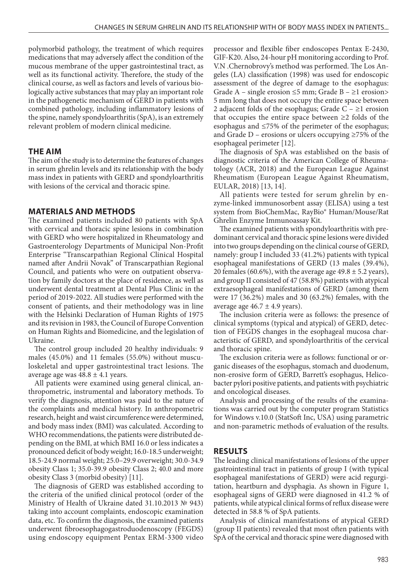polymorbid pathology, the treatment of which requires medications that may adversely affect the condition of the mucous membrane of the upper gastrointestinal tract, as well as its functional activity. Therefore, the study of the clinical course, as well as factors and levels of various biologically active substances that may play an important role in the pathogenetic mechanism of GERD in patients with combined pathology, including inflammatory lesions of the spine, namely spondyloarthritis (SpA), is an extremely relevant problem of modern clinical medicine.

#### **THE AIM**

The aim of the study is to determine the features of changes in serum ghrelin levels and its relationship with the body mass index in patients with GERD and spondyloarthritis with lesions of the cervical and thoracic spine.

## **MATERIALS AND METHODS**

The examined patients included 80 patients with SpA with cervical and thoracic spine lesions in combination with GERD who were hospitalized in Rheumatology and Gastroenterology Departments of Municipal Non-Profit Enterprise "Transcarpathian Regional Clinical Hospital named after Andrii Novak" of Transcarpathian Regional Council, and patients who were on outpatient observation by family doctors at the place of residence, as well as underwent dental treatment at Dental Plus Clinic in the period of 2019-2022. All studies were performed with the consent of patients, and their methodology was in line with the Helsinki Declaration of Human Rights of 1975 and its revision in 1983, the Council of Europe Convention on Human Rights and Biomedicine, and the legislation of Ukraine.

The control group included 20 healthy individuals: 9 males (45.0%) and 11 females (55.0%) without musculoskeletal and upper gastrointestinal tract lesions. The average age was  $48.8 \pm 4.1$  years.

All patients were examined using general clinical, anthropometric, instrumental and laboratory methods. To verify the diagnosis, attention was paid to the nature of the complaints and medical history. In anthropometric research, height and waist circumference were determined, and body mass index (BMI) was calculated. According to WHO recommendations, the patients were distributed depending on the BMI, at which BMI 16.0 or less indicates a pronounced deficit of body weight; 16.0-18.5 underweight; 18.5-24.9 normal weight; 25.0–29.9 overweight; 30.0-34.9 obesity Class 1; 35.0-39.9 obesity Class 2; 40.0 and more obesity Class 3 (morbid obesity) [11].

The diagnosis of GERD was established according to the criteria of the unified clinical protocol (order of the Ministry of Health of Ukraine dated 31.10.2013 № 943) taking into account complaints, endoscopic examination data, etc. To confirm the diagnosis, the examined patients underwent fibroesophagogastroduodenoscopy (FEGDS) using endoscopy equipment Pentax ERM-3300 video processor and flexible fiber endoscopes Pentax E-2430, GIF-K20. Also, 24-hour pH monitoring according to Prof. V.N .Chernobrovy's method was performed. The Los Angeles (LA) classification (1998) was used for endoscopic assessment of the degree of damage to the esophagus: Grade A – single erosion  $\leq$ 5 mm; Grade B –  $\geq$ 1 erosion> 5 mm long that does not occupy the entire space between 2 adjacent folds of the esophagus; Grade  $C - \geq 1$  erosion that occupies the entire space between ≥2 folds of the esophagus and ≤75% of the perimeter of the esophagus; and Grade D – erosions or ulcers occupying  $\geq$ 75% of the esophageal perimeter [12].

The diagnosis of SpA was established on the basis of diagnostic criteria of the American College of Rheumatology (ACR, 2018) and the European League Against Rheumatism (European League Against Rheumatism, EULAR, 2018) [13, 14].

All patients were tested for serum ghrelin by enzyme-linked immunosorbent assay (ELISA) using a test system from BioChemMac, RayBio® Human/Mouse/Rat Ghrelin Enzyme Immunoassay Kit.

The examined patients with spondyloarthritis with predominant cervical and thoracic spine lesions were divided into two groups depending on the clinical course of GERD, namely: group I included 33 (41.2%) patients with typical esophageal manifestations of GERD (13 males (39.4%), 20 females (60.6%), with the average age  $49.8 \pm 5.2$  years), and group II consisted of 47 (58.8%) patients with atypical extraesophageal manifestations of GERD (among them were 17 (36.2%) males and 30 (63.2%) females, with the average age  $46.7 \pm 4.9$  years).

The inclusion criteria were as follows: the presence of clinical symptoms (typical and atypical) of GERD, detection of FEGDS changes in the esophageal mucosa characteristic of GERD, and spondyloarthritis of the cervical and thoracic spine.

The exclusion criteria were as follows: functional or organic diseases of the esophagus, stomach and duodenum, non-erosive form of GERD, Barrett's esophagus, Helicobacter pylori positive patients, and patients with psychiatric and oncological diseases.

Analysis and processing of the results of the examinations was carried out by the computer program Statistics for Windows v.10.0 (StatSoft Inc, USA) using parametric and non-parametric methods of evaluation of the results.

### **RESULTS**

The leading clinical manifestations of lesions of the upper gastrointestinal tract in patients of group I (with typical esophageal manifestations of GERD) were acid regurgitation, heartburn and dysphagia. As shown in Figure 1, esophageal signs of GERD were diagnosed in 41.2 % of patients, while atypical clinical forms of reflux disease were detected in 58.8 % of SpA patients.

Analysis of clinical manifestations of atypical GERD (group II patients) revealed that most often patients with SpA of the cervical and thoracic spine were diagnosed with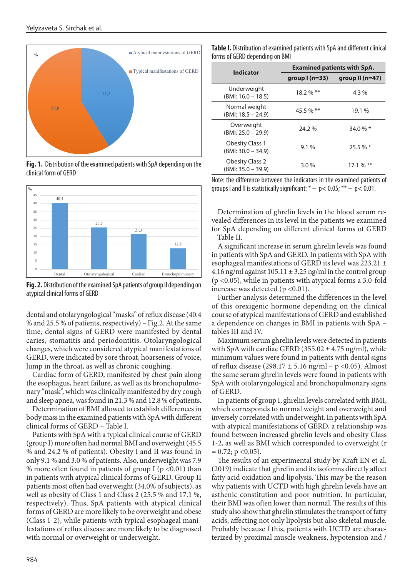

**Fig.1. Distribution of the examined patients with SpA depending on the clinical form Fig. 1.** Distribution of the examined patients with SpA depending on the clinical form of GERD



**Fig. 2.** Distribution of the examined SpA patients of group II depending on **forms of GERD** atypical clinical forms of GERD

dental and otolaryngological "masks" of reflux disease (40.4 % and 25.5 % of patients, respectively) – Fig.2. At the same time, dental signs of GERD were manifested by dental caries, stomatitis and periodontitis. Otolaryngological changes, which were considered atypical manifestations of GERD, were indicated by sore throat, hoarseness of voice, lump in the throat, as well as chronic coughing.

Cardiac form of GERD, manifested by chest pain along the esophagus, heart failure, as well as its bronchopulmonary "mask", which was clinically manifested by dry cough and sleep apnea, was found in 21.3 % and 12.8 % of patients.

Determination of BMI allowed to establish differences in body mass in the examined patients with SpA with different clinical forms of GERD – Table I.

Patients with SpA with a typical clinical course of GERD (group I) more often had normal BMI and overweight (45.5 % and 24.2 % of patients). Obesity I and II was found in only 9.1 % and 3.0 % of patients. Also, underweight was 7.9 % more often found in patients of group I ( $p$  <0.01) than in patients with atypical clinical forms of GERD. Group II patients most often had overweight (34.0% of subjects), as well as obesity of Class 1 and Class 2 (25.5 % and 17.1 %, respectively). Thus, SpA patients with atypical clinical forms of GERD are more likely to be overweight and obese (Class 1-2), while patients with typical esophageal manifestations of reflux disease are more likely to be diagnosed with normal or overweight or underweight.

**Table I.** Distribution of examined patients with SpA and different clinical forms of GERD depending on BMI

| <b>Indicator</b>                               | <b>Examined patients with SpA.</b> |                        |
|------------------------------------------------|------------------------------------|------------------------|
|                                                | group $l(n=33)$                    | group $II(n=47)$       |
| Underweight<br>$(BMI: 16.0 - 18.5)$            | $18.2\%$ **                        | $4.3\%$                |
| Normal weight<br>$(BMI: 18.5 - 24.9)$          | 45.5 % $**$                        | 19.1 %                 |
| Overweight<br>$(BMI: 25.0 - 29.9)$             | 24.2 %                             | 34.0 % $*$             |
| <b>Obesity Class 1</b><br>$(BMI: 30.0 - 34.9)$ | $9.1\%$                            | 25.5%                  |
| <b>Obesity Class 2</b><br>$(BMI: 35.0 - 39.9)$ | 3.0%                               | $17.1\%$ <sup>**</sup> |

Note: the difference between the indicators in the examined patients of groups I and II is statistically significant:  $* - p < 0.05$ ;  $** - p < 0.01$ .

Determination of ghrelin levels in the blood serum revealed differences in its level in the patients we examined for SpA depending on different clinical forms of GERD – Table II.

A significant increase in serum ghrelin levels was found in patients with SpA and GERD. In patients with SpA with esophageal manifestations of GERD its level was 223.21 ± 4.16 ng/ml against  $105.11 \pm 3.25$  ng/ml in the control group (p <0.05), while in patients with atypical forms a 3.0-fold increase was detected ( $p < 0.01$ ).

Further analysis determined the differences in the level of this orexigenic hormone depending on the clinical course of atypical manifestations of GERD and established a dependence on changes in BMI in patients with SpA – tables III and IV.

Maximum serum ghrelin levels were detected in patients with SpA with cardiac GERD (355.02  $\pm$  4.75 ng/ml), while minimum values were found in patients with dental signs of reflux disease (298.17 ± 5.16 ng/ml – p <0.05). Almost the same serum ghrelin levels were found in patients with SpA with otolaryngological and bronchopulmonary signs of GERD.

In patients of group I, ghrelin levels correlated with BMI, which corresponds to normal weight and overweight and inversely correlated with underweight. In patients with SpA with atypical manifestations of GERD, a relationship was found between increased ghrelin levels and obesity Class 1-2, as well as BMI which corresponded to overweight (r  $= 0.72$ ; p <0.05).

The results of an experimental study by Kraft EN et al. (2019) indicate that ghrelin and its isoforms directly affect fatty acid oxidation and lipolysis. This may be the reason why patients with UCTD with high ghrelin levels have an asthenic constitution and poor nutrition. In particular, their BMI was often lower than normal. The results of this study also show that ghrelin stimulates the transport of fatty acids, affecting not only lipolysis but also skeletal muscle. Probably because f this, patients with UCTD are characterized by proximal muscle weakness, hypotension and /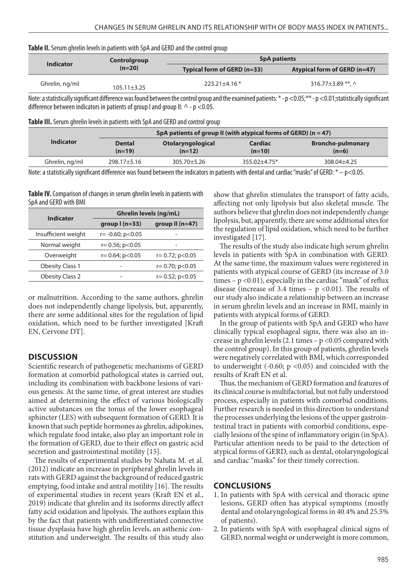| Table II. Serum ghrelin levels in patients with SpA and GERD and the control group |  |  |  |
|------------------------------------------------------------------------------------|--|--|--|
|------------------------------------------------------------------------------------|--|--|--|

|                  | Controlgroup    | <b>SpA patients</b>         |                              |
|------------------|-----------------|-----------------------------|------------------------------|
| <b>Indicator</b> | $(n=20)$        | Typical form of GERD (n=33) | Atypical form of GERD (n=47) |
| Ghrelin, ng/ml   | $105.11 + 3.25$ | $223.21 \pm 4.16$ *         | 316.77 $\pm$ 3.89 **. ^      |

Note: a statistically significant difference was found between the control group and the examined patients: \*-p <0.05;\*\*-p <0.01; statistically significant difference between indicators in patients of group I and group II:  $\wedge$  - p <0.05.

**Table III.** Serum ghrelin levels in patients with SpA and GERD and control group

|                  | SpA patients of group II (with atypical forms of GERD) ( $n = 47$ ) |                               |                            |                                     |
|------------------|---------------------------------------------------------------------|-------------------------------|----------------------------|-------------------------------------|
| <b>Indicator</b> | <b>Dental</b><br>$(n=19)$                                           | Otolaryngological<br>$(n=12)$ | <b>Cardiac</b><br>$(n=10)$ | <b>Broncho-pulmonary</b><br>$(n=6)$ |
| Ghrelin, ng/ml   | 298.17±5.16                                                         | $305.70 \pm 5.26$             | $355.02 + 4.75*$           | 308.04±4.25                         |

Note: a statistically significant difference was found between the indicators in patients with dental and cardiac "masks" of GERD:  $* - p < 0.05$ .

**Table IV.** Comparison of changes in serum ghrelin levels in patients with SpA and GERD with BMI

| Indicator              | <b>Ghrelin levels (ng/mL)</b> |                         |  |
|------------------------|-------------------------------|-------------------------|--|
|                        | group $l(n=33)$               | group $II(n=47)$        |  |
| Insufficient weight    | $r = -0.60$ ; $p < 0.05$      |                         |  |
| Normal weight          | $r = 0.56$ ; $p < 0.05$       |                         |  |
| Overweight             | $r = 0.64$ ; $p < 0.05$       | $r = 0.72$ ; $p < 0.05$ |  |
| <b>Obesity Class 1</b> |                               | $r = 0.70$ ; $p < 0.05$ |  |
| <b>Obesity Class 2</b> |                               | $r = 0.52$ ; $p < 0.05$ |  |

or malnutrition. According to the same authors, ghrelin does not independently change lipolysis, but, apparently, there are some additional sites for the regulation of lipid oxidation, which need to be further investigated [Kraft EN, Cervone DT].

### **DISCUSSION**

Scientific research of pathogenetic mechanisms of GERD formation at comorbid pathological states is carried out, including its combination with backbone lesions of various genesis. At the same time, of great interest are studies aimed at determining the effect of various biologically active substances on the tonus of the lower esophageal sphincter (LES) with subsequent formation of GERD. It is known that such peptide hormones as ghrelin, adipokines, which regulate food intake, also play an important role in the formation of GERD, due to their effect on gastric acid secretion and gastrointestinal motility [15].

The results of experimental studies by Nahata M. et al. (2012) indicate an increase in peripheral ghrelin levels in rats with GERD against the background of reduced gastric emptying, food intake and antral motility [16]. The results of experimental studies in recent years (Kraft EN et al., 2019) indicate that ghrelin and its isoforms directly affect fatty acid oxidation and lipolysis. The authors explain this by the fact that patients with undifferentiated connective tissue dysplasia have high ghrelin levels, an asthenic constitution and underweight. The results of this study also show that ghrelin stimulates the transport of fatty acids, affecting not only lipolysis but also skeletal muscle. The authors believe that ghrelin does not independently change lipolysis, but, apparently, there are some additional sites for the regulation of lipid oxidation, which need to be further investigated [17].

The results of the study also indicate high serum ghrelin levels in patients with SpA in combination with GERD. At the same time, the maximum values were registered in patients with atypical course of GERD (its increase of 3.0 times  $-p < 0.01$ ), especially in the cardiac "mask" of reflux disease (increase of 3.4 times –  $p \le 0.01$ ). The results of our study also indicate a relationship between an increase in serum ghrelin levels and an increase in BMI, mainly in patients with atypical forms of GERD.

In the group of patients with SpA and GERD who have clinically typical esophageal signs, there was also an increase in ghrelin levels (2.1 times – p <0.05 compared with the control group). In this group of patients, ghrelin levels were negatively correlated with BMI, which corresponded to underweight  $(-0.60; p \lt 0.05)$  and coincided with the results of Kraft EN et al.

Thus, the mechanism of GERD formation and features of its clinical course is multifactorial, but not fully understood process, especially in patients with comorbid conditions. Further research is needed in this direction to understand the processes underlying the lesions of the upper gastrointestinal tract in patients with comorbid conditions, especially lesions of the spine of inflammatory origin (in SpA). Particular attention needs to be paid to the detection of atypical forms of GERD, such as dental, otolaryngological and cardiac "masks" for their timely correction.

### **CONCLUSIONS**

- 1. In patients with SpA with cervical and thoracic spine lesions, GERD often has atypical symptoms (mostly dental and otolaryngological forms in 40.4% and 25.5% of patients).
- 2. In patients with SpA with esophageal clinical signs of GERD, normal weight or underweight is more common,